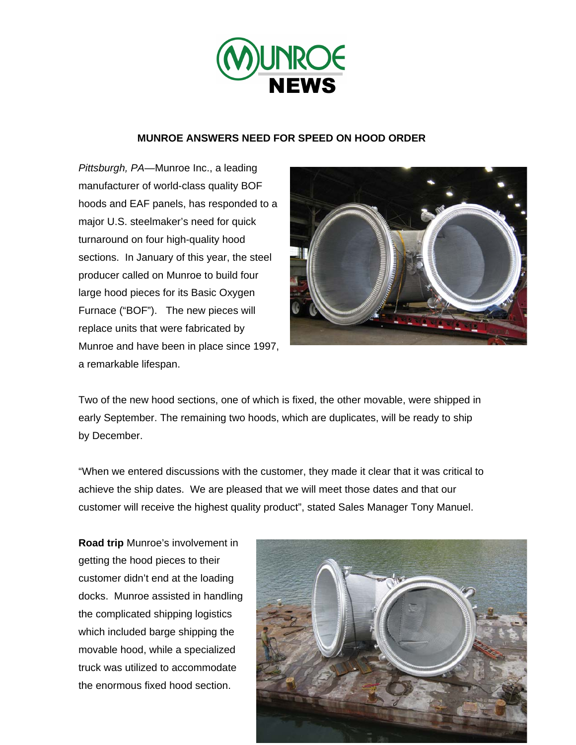

## **MUNROE ANSWERS NEED FOR SPEED ON HOOD ORDER**

*Pittsburgh, PA—*Munroe Inc., a leading manufacturer of world-class quality BOF hoods and EAF panels, has responded to a major U.S. steelmaker's need for quick turnaround on four high-quality hood sections. In January of this year, the steel producer called on Munroe to build four large hood pieces for its Basic Oxygen Furnace ("BOF"). The new pieces will replace units that were fabricated by Munroe and have been in place since 1997, a remarkable lifespan.



Two of the new hood sections, one of which is fixed, the other movable, were shipped in early September. The remaining two hoods, which are duplicates, will be ready to ship by December.

"When we entered discussions with the customer, they made it clear that it was critical to achieve the ship dates. We are pleased that we will meet those dates and that our customer will receive the highest quality product", stated Sales Manager Tony Manuel.

**Road trip** Munroe's involvement in getting the hood pieces to their customer didn't end at the loading docks. Munroe assisted in handling the complicated shipping logistics which included barge shipping the movable hood, while a specialized truck was utilized to accommodate the enormous fixed hood section.